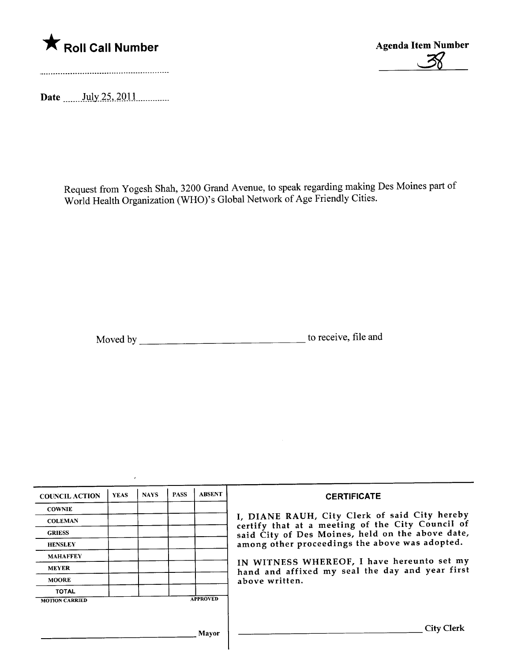

Date  $\frac{\text{July }25,2011}{\text{July }25,2011}$ 

 $\lambda$ 



Request from Yogesh Shah, 3200 Grand Avenue, to speak regarding making Des Moines part of World Health Organization (WHO)'s Global Network of Age Friendly Cities.

Moved by to receive, file and

| <b>COUNCIL ACTION</b> | <b>YEAS</b> | <b>NAYS</b> | <b>PASS</b> | <b>ABSENT</b>   | <b>CERTIFICATE</b>                                                                                                                                                                                                                                                                                                         |
|-----------------------|-------------|-------------|-------------|-----------------|----------------------------------------------------------------------------------------------------------------------------------------------------------------------------------------------------------------------------------------------------------------------------------------------------------------------------|
| <b>COWNIE</b>         |             |             |             |                 |                                                                                                                                                                                                                                                                                                                            |
| <b>COLEMAN</b>        |             |             |             |                 | I, DIANE RAUH, City Clerk of said City hereby<br>certify that at a meeting of the City Council of<br>said City of Des Moines, held on the above date,<br>among other proceedings the above was adopted.<br>IN WITNESS WHEREOF, I have hereunto set my<br>hand and affixed my seal the day and year first<br>above written. |
| <b>GRIESS</b>         |             |             |             |                 |                                                                                                                                                                                                                                                                                                                            |
| <b>HENSLEY</b>        |             |             |             |                 |                                                                                                                                                                                                                                                                                                                            |
| <b>MAHAFFEY</b>       |             |             |             |                 |                                                                                                                                                                                                                                                                                                                            |
| <b>MEYER</b>          |             |             |             |                 |                                                                                                                                                                                                                                                                                                                            |
| <b>MOORE</b>          |             |             |             |                 |                                                                                                                                                                                                                                                                                                                            |
| <b>TOTAL</b>          |             |             |             |                 |                                                                                                                                                                                                                                                                                                                            |
| <b>MOTION CARRIED</b> |             |             |             | <b>APPROVED</b> |                                                                                                                                                                                                                                                                                                                            |
|                       |             |             |             |                 |                                                                                                                                                                                                                                                                                                                            |
|                       |             |             |             | Mayor           | <b>City Clerk</b>                                                                                                                                                                                                                                                                                                          |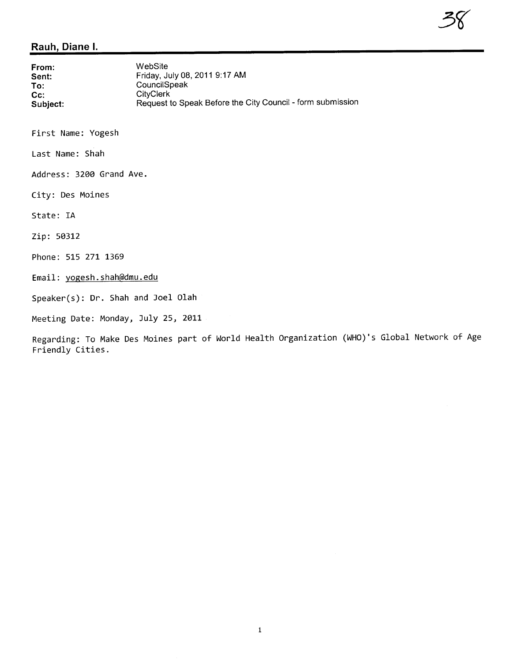## Rauh, Diane i.

| From:    | WebSite                                                    |
|----------|------------------------------------------------------------|
| Sent:    | Friday, July 08, 2011 9:17 AM                              |
| To:      | CouncilSpeak                                               |
| $Cc$ :   | <b>CityClerk</b>                                           |
| Subject: | Request to Speak Before the City Council - form submission |

First Name: Yogesh

Last Name: Shah

Address: 3200 Grand Ave.

City: Des Moines

State: IA

Zip: 50312

Phone: 515 271 1369

Email: yogesh. shah@dmu.edu

Speaker(s): Dr. Shah and Joel Olah

Meeting Date: Monday, July 25, 2011

Regarding: To Make Des Moines part of World Health Organization (WHO)'s Global Network of Age Friendly Cities.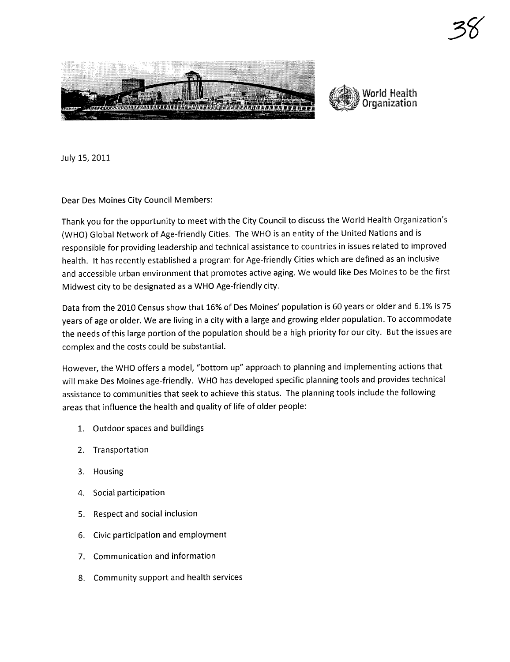



3~

July 15, 2011

Dear Des Moines City Council Members:

Thank you for the opportunity to meet with the City Council to discuss the World Health Organization's (WHO) Global Network of Age-friendly Cities. The WHO is an entity of the United Nations and is responsible for providing leadership and technical assistance to countries in issues related to improved health. It has recently established a program for Age-friendly Cities which are defined as an inclusive and accessible urban environment that promotes active aging. We would like Des Moines to be the first Midwest city to be designated as a WHO Age-friendly city.

Data from the 2010 Census show that 16% of Des Moines' population is 60 years or older and 6.1% is 75 years of age or older. We are living in a city with a large and growing elder population. To accommodate the needs of this large portion of the population should be a high priority for our city. But the issues are complex and the costs could be substantiaL.

However, the WHO offers a model, "bottom up" approach to planning and implementing actions that will make Des Moines age-friendly. WHO has developed specific planning tools and provides technical assistance to communities that seek to achieve this status. The planning tools include the following areas that influence the health and quality of life of older people:

- 1. Outdoor spaces and buildings
- 2. Transportation
- 3. Housing
- 4. Social participation
- 5. Respect and social inclusion
- 6. Civic participation and employment
- 7. Communication and information
- 8. Community support and health services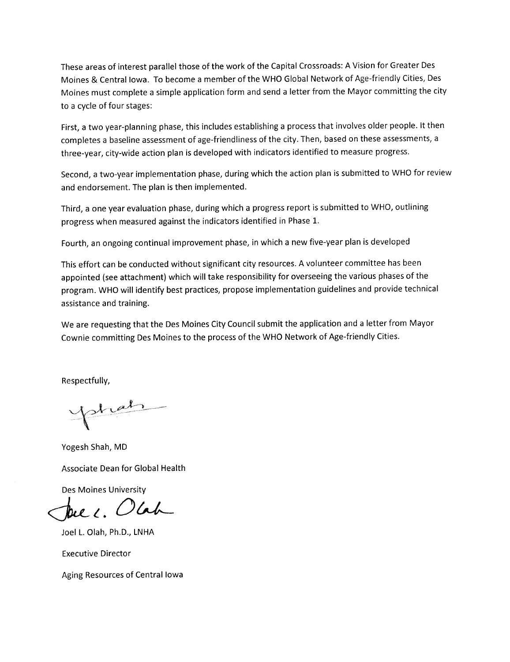These areas of interest parallel those of the work of the Capital Crossroads: A Vision for Greater Des Moines & Central Iowa. To become a member of the WHO Global Network of Age-friendly Cities, Des Moines must complete a simple application form and send a letter from the Mayor committing the city to a cycle of four stages:

First, a two year-planning phase, this includes establishing a process that involves older people. It then completes a baseline assessment of age-friendliness of the city. Then, based on these assessments, a three-year, city-wide action plan is developed with indicators identified to measure progress.

Second, a two-year implementation phase, during which the action plan is submitted to WHO for review and endorsement. The plan is then implemented.

Third, a one year evaluation phase, during which a progress report is submitted to WHO, outlining progress when measured against the indicators identified in Phase 1.

Fourth, an ongoing continual improvement phase, in which a new five-year plan is developed

This effort can be conducted without significant city resources. A volunteer committee has been appointed (see attachment) which will take responsibility for overseeing the various phases of the program. WHO will identify best practices, propose implementation guidelines and provide technical assistance and training.

We are requesting that the Des Moines City Council submit the application and a letter from Mayor Cownie committing Des Moines to the process of the WHO Network of Age-friendly Cities.

Respectfully,

yokat

Yogesh Shah, MD

Associate Dean for Global Health

Des Moines University

Duec. Olah

Joel L. Olah, Ph.D., LNHA

Executive Director

Aging Resources of Central Iowa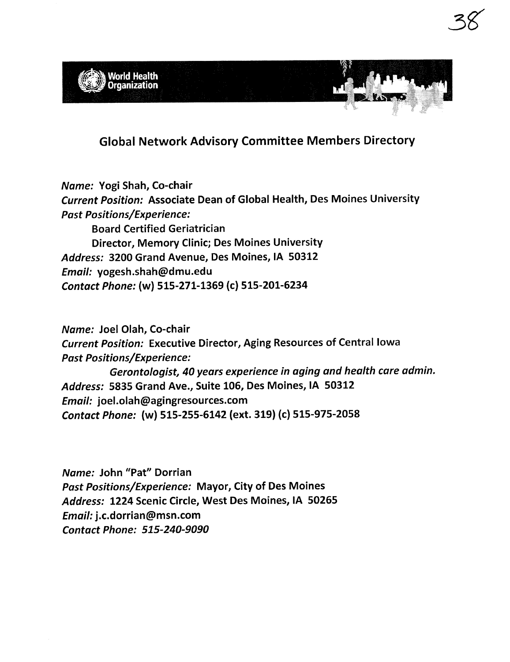

3gr

Global Network Advisory Committee Members Directory

Name: Yogi Shah, Co-chair Current Position: Associate Dean of Global Health, Des Moines University Past Positions/Experience: Board Certified Geriatrician Director, Memory Clinic; Des Moines University Address: 3200 Grand Avenue, Des Moines, IA 50312 Email: yogesh.shah(9dmu.edu Contact Phone: (w) 515-271-1369 (c) 515-201-6234

Name: Joel Olah, Co-chair Current Position: Executive Director, Aging Resources of Central Iowa Past Positions/Experience: Gerontologist, 40 years experience in aging and health care admin. Address: 5835 Grand Ave., Suite 106, Des Moines, IA 50312 Email: joel.olah(9agingresources.com Contact Phone: (w) 515-255-6142 (ext. 319) (c) 515-975-2058

Name: John "Pat" Dorrian Past Positions/Experience: Mayor, City of Des Moines Address: 1224 Scenic Circle, West Des Moines, IA 50265 Email: j.c.dorrian(9msn.com Contact Phone: 515-240-9090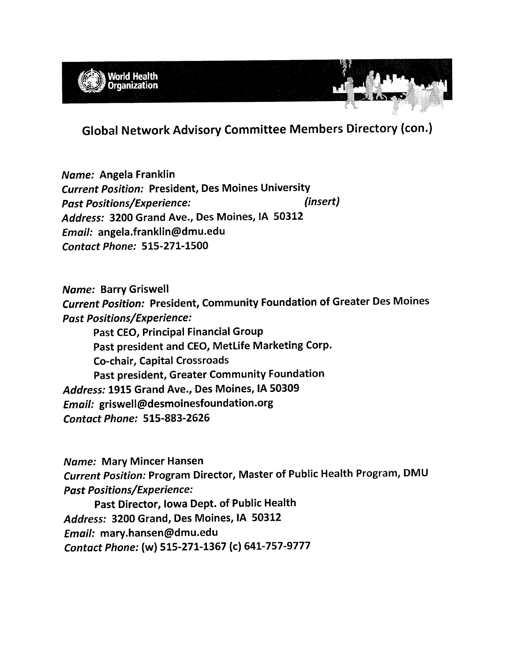

Global Network Advisory Committee Members Directory (con.)

Name: Angela Franklin Current Position: President, Des Moines University Past Positions/Experience: (insert) Address: 3200 Grand Ave., Des Moines, IA 50312 Email: angela.franklin(9dmu.edu Contact Phone: 515-271-1500

Name: Barry Griswell Current Position: President, Community Foundation of Greater Des Moines Past Positions/Experience: Past CEO, Principal Financial Group Past president and CEO, MetLife Marketing Corp. Co-chair, Capital Crossroads Past president, Greater Community Foundation Address: 1915 Grand Ave., Des Moines, IA 50309 Email: griswell@desmoinesfoundation.org Contact Phone: 515-883-2626

Name: Mary Mincer Hansen Current Position: Program Director, Master of Public Health Program, DMU Past Positions/Experience:

Past Director, Iowa Dept. of Public Health Address: 3200 Grand, Des Moines, IA 50312 Email: mary.hansen(9dmu.edu Contact Phone: (w) 515-271-1367 (c) 641-757-9777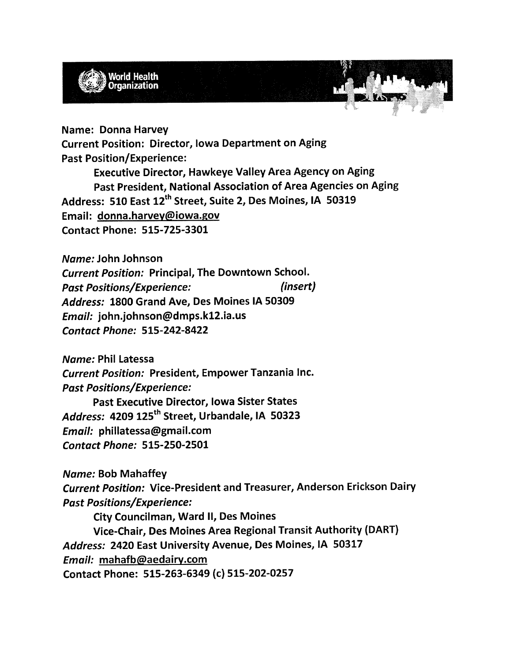

Name: Donna Harvey Current Position: Director, Iowa Department on Aging Past Position/Experience: Executive Director, Hawkeye Valley Area Agency on Aging Past President, National Association of Area Agencies on Aging Address: 510 East 12<sup>th</sup> Street, Suite 2, Des Moines, IA 50319 Email: donna.harvev@iowa.gov Contact Phone: 515-725-3301

Name: John Johnson Current Position: Principal, The Downtown SchooL. Past Positions/Experience: (insert) Address: 1800 Grand Ave, Des Moines IA 50309 Email: john.johnson(9dmps.k12.ia.us Contact Phone: 515-242-8422

Name: Phil Latessa Current Position: President, Empower Tanzania Inc. Past Positions/Experience: Past Executive Director, Iowa Sister States Address: 4209 125<sup>th</sup> Street, Urbandale, IA 50323 Email: phillatessa@gmail.com Contact Phone: 515-250-2501

Name: Bob Mahaffey Current Position: Vice-President and Treasurer, Anderson Erickson Dairy Past Positions/Experience:

City Councilman, Ward II, Des Moines

Vice-Chair, Des Moines Area Regional Transit Authority (DART) Address: 2420 East University Avenue, Des Moines, IA 50317 Email: mahafb@aedairy.com Contact Phone: 515-263-6349 (c) 515-202-0257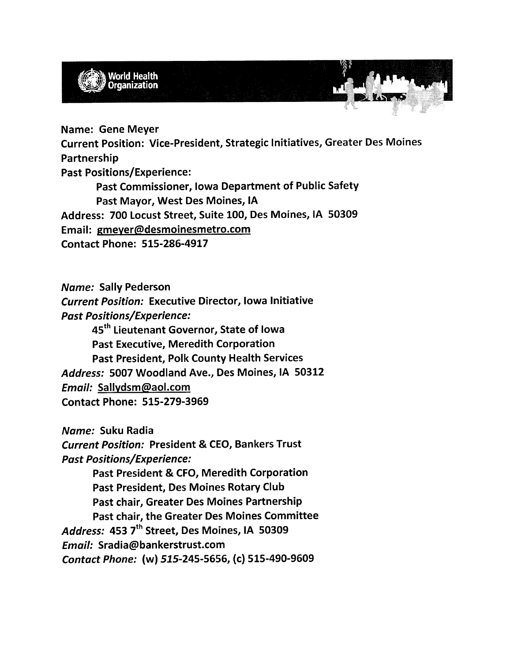

Name: Gene Meyer Current Position: Vice-President, Strategic Initiatives, Greater Des Moines Partnership Past Positions/Experience: Past Commissioner, Iowa Department of Public Safety Past Mayor, West Des Moines, IA Address: 700 Locust Street, Suite 100, Des Moines, IA 50309 Email: gmeyer@desmoinesmetro.com

Contact Phone: 515-286-4917

Name: Sally Pederson

Current Position: Executive Director, Iowa Initiative Past Positions/Experience:

45<sup>th</sup> Lieutenant Governor, State of Iowa Past Executive, Meredith Corporation Past President, Polk County Health Services Address: 5007 Woodland Ave., Des Moines, IA 50312 Email: Sallydsm@aol.com Contact Phone: 515-279-3969

Name: Suku Radia

Current Position: President & CEO, Bankers Trust Past Positions/Experience:

Past President & CFO, Meredith Corporation Past President, Des Moines Rotary Club Past chair, Greater Des Moines Partnership Past chair, the Greater Des Moines Committee Address: 453 7<sup>th</sup> Street, Des Moines, IA 50309 Email: Sradia(9bankerstrust.com Contact Phone: (w) 515-245-5656, (c) 515-490-9609